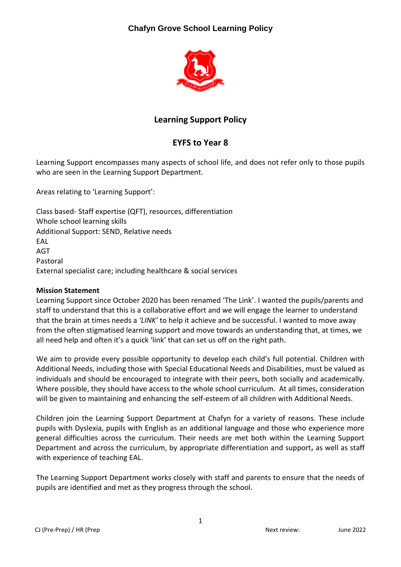# **Chafyn Grove School Learning Policy**



# **Learning Support Policy**

# **EYFS to Year 8**

Learning Support encompasses many aspects of school life, and does not refer only to those pupils who are seen in the Learning Support Department.

Areas relating to 'Learning Support':

Class based- Staff expertise (QFT), resources, differentiation Whole school learning skills Additional Support: SEND, Relative needs **FAL** AGT Pastoral External specialist care; including healthcare & social services

### **Mission Statement**

Learning Support since October 2020 has been renamed 'The Link'. I wanted the pupils/parents and staff to understand that this is a collaborative effort and we will engage the learner to understand that the brain at times needs a *'LINK'* to help it achieve and be successful. I wanted to move away from the often stigmatised learning support and move towards an understanding that, at times, we all need help and often it's a quick 'link' that can set us off on the right path.

We aim to provide every possible opportunity to develop each child's full potential. Children with Additional Needs, including those with Special Educational Needs and Disabilities, must be valued as individuals and should be encouraged to integrate with their peers, both socially and academically. Where possible, they should have access to the whole school curriculum. At all times, consideration will be given to maintaining and enhancing the self-esteem of all children with Additional Needs.

Children join the Learning Support Department at Chafyn for a variety of reasons. These include pupils with Dyslexia, pupils with English as an additional language and those who experience more general difficulties across the curriculum. Their needs are met both within the Learning Support Department and across the curriculum, by appropriate differentiation and support, as well as staff with experience of teaching EAL.

The Learning Support Department works closely with staff and parents to ensure that the needs of pupils are identified and met as they progress through the school.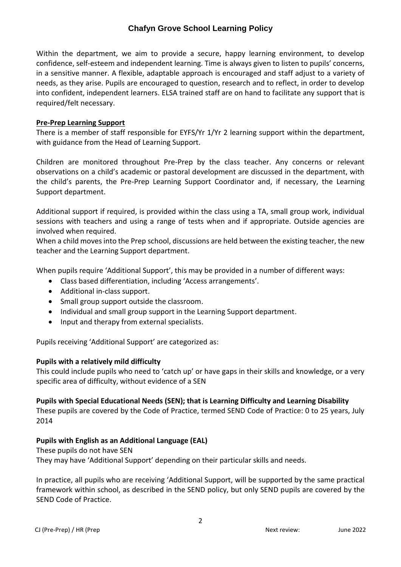## **Chafyn Grove School Learning Policy**

Within the department, we aim to provide a secure, happy learning environment, to develop confidence, self-esteem and independent learning. Time is always given to listen to pupils' concerns, in a sensitive manner. A flexible, adaptable approach is encouraged and staff adjust to a variety of needs, as they arise. Pupils are encouraged to question, research and to reflect, in order to develop into confident, independent learners. ELSA trained staff are on hand to facilitate any support that is required/felt necessary.

#### **Pre-Prep Learning Support**

There is a member of staff responsible for EYFS/Yr 1/Yr 2 learning support within the department, with guidance from the Head of Learning Support.

Children are monitored throughout Pre-Prep by the class teacher. Any concerns or relevant observations on a child's academic or pastoral development are discussed in the department, with the child's parents, the Pre-Prep Learning Support Coordinator and, if necessary, the Learning Support department.

Additional support if required, is provided within the class using a TA, small group work, individual sessions with teachers and using a range of tests when and if appropriate. Outside agencies are involved when required.

When a child moves into the Prep school, discussions are held between the existing teacher, the new teacher and the Learning Support department.

When pupils require 'Additional Support', this may be provided in a number of different ways:

- Class based differentiation, including 'Access arrangements'.
- Additional in-class support.
- Small group support outside the classroom.
- Individual and small group support in the Learning Support department.
- Input and therapy from external specialists.

Pupils receiving 'Additional Support' are categorized as:

#### **Pupils with a relatively mild difficulty**

This could include pupils who need to 'catch up' or have gaps in their skills and knowledge, or a very specific area of difficulty, without evidence of a SEN

#### **Pupils with Special Educational Needs (SEN); that is Learning Difficulty and Learning Disability**

These pupils are covered by the Code of Practice, termed SEND Code of Practice: 0 to 25 years, July 2014

### **Pupils with English as an Additional Language (EAL)**

These pupils do not have SEN

They may have 'Additional Support' depending on their particular skills and needs.

In practice, all pupils who are receiving 'Additional Support, will be supported by the same practical framework within school, as described in the SEND policy, but only SEND pupils are covered by the SEND Code of Practice.